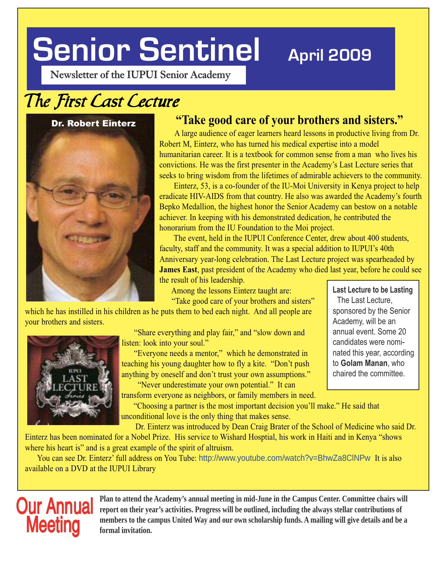# **Senior Sentinel**

## **April 2009**

**Newsletter of the IUPUI Senior Academy**

## The First Cast Cecture

### Dr. Robert Einterz



### **"Take good care of your brothers and sisters."**

 A large audience of eager learners heard lessons in productive living from Dr. Robert M, Einterz, who has turned his medical expertise into a model humanitarian career. It is a textbook for common sense from a man who lives his convictions. He was the first presenter in the Academy's Last Lecture series that seeks to bring wisdom from the lifetimes of admirable achievers to the community.

 Einterz, 53, is a co-founder of the IU-Moi University in Kenya project to help eradicate HIV-AIDS from that country. He also was awarded the Academy's fourth Bepko Medallion, the highest honor the Senior Academy can bestow on a notable achiever. In keeping with his demonstrated dedication, he contributed the honorarium from the IU Foundation to the Moi project.

 The event, held in the IUPUI Conference Center, drew about 400 students, faculty, staff and the community. It was a special addition to IUPUI's 40th Anniversary year-long celebration. The Last Lecture project was spearheaded by **James East**, past president of the Academy who died last year, before he could see the result of his leadership.

Among the lessons Einterz taught are:

"Take good care of your brothers and sisters"

which he has instilled in his children as he puts them to bed each night. And all people are your brothers and sisters.



 "Share everything and play fair," and "slow down and listen: look into your soul."

 "Everyone needs a mentor," which he demonstrated in teaching his young daughter how to fly a kite. "Don't push anything by oneself and don't trust your own assumptions."

"Never underestimate your own potential." It can

transform everyone as neighbors, or family members in need.

 "Choosing a partner is the most important decision you'll make." He said that unconditional love is the only thing that makes sense.

 Dr. Einterz was introduced by Dean Craig Brater of the School of Medicine who said Dr. Einterz has been nominated for a Nobel Prize. His service to Wishard Hosptial, his work in Haiti and in Kenya "shows

where his heart is" and is a great example of the spirit of altruism. You can see Dr. Einterz' full address on You Tube: http://www.youtube.com/watch?v=BhwZa8ClNPw It is also available on a DVD at the IUPUI Library

**Our Annual** Plan to attend the Academy's annual meeting in mid-June in the Campus Center. Committee chairs will<br>contributions of their year's activities. Progress will be outlined, including the always stellar contributio **Meeting** members to the campus United Way and our own scholarship funds. A mailing will give details and be a formal invitation.

**Last Lecture to be Lasting** The Last Lecture, sponsored by the Senior Academy, will be an annual event. Some 20 candidates were nominated this year, according to **Golam Manan**, who chaired the committee.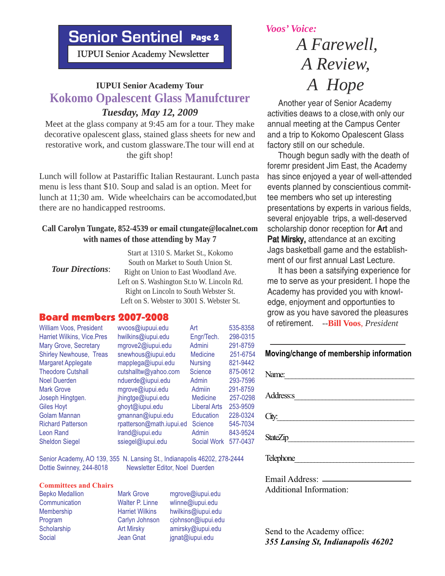### **Senior Senior Senior Sentinel** Page 2

 **IUPUI Senior Academy Newsletter**

## **IUPUI Senior Academy Tour**<br> **IVELA Hope**<br> **IVELA Senior Academy Tour**<br> **IVELA Senior Analytic Lines Apother year of Senior A.** *Tuesday, May 12, 2009*

Meet at the glass company at 9:45 am for a tour. They make decorative opalescent glass, stained glass sheets for new and restorative work, and custom glassware.The tour will end at the gift shop!

Lunch will follow at Pastariffic Italian Restaurant. Lunch pasta menu is less thant \$10. Soup and salad is an option. Meet for lunch at 11;30 am. Wide wheelchairs can be accomodated,but there are no handicapped restrooms.

### **Call Carolyn Tungate, 852-4539 or email ctungate@localnet.com with names of those attending by May 7**

| <b>Tour Directions:</b> | Start at 1310 S. Market St., Kokomo        |
|-------------------------|--------------------------------------------|
|                         | South on Market to South Union St.         |
|                         | Right on Union to East Woodland Ave.       |
|                         | Left on S. Washington St.to W. Lincoln Rd. |
|                         | Right on Lincoln to South Webster St.      |
|                         | Left on S. Webster to 3001 S. Webster St.  |
|                         |                                            |

### Board members 2007-2008

Sheldon Siegel ssiegel@iupui.edu Social Work 577-0437

William Voos, President wvoos@iupuui.edu Art 535-8358 Harriet Wilkins, Vice.Pres hwilkins@iupui.edu Engr/Tech. 298-0315 Mary Grove, Secretary mgrove2@iupui.edu Admini 291-8759 Shirley Newhouse, Treas snewhous@iupui.edu Medicine 251-6754 Margaret Applegate mapplega@iupui.edu Nursing 821-9442<br>Theodore Cutshall cutshalltw@yahoo.com Science 875-0612 cutshalltw@yahoo.com Science Noel Duerden nduerde@iupui.edu Admin 293-7596 Mark Grove **mgrove@iupui.edu** Admiin 291-8759 Joseph Hingtgen. jhingtge@iupui.edu Medicine 257-0298 Giles Hoyt **ghoyt** Giles Hoyt **ghoyt** ghoyt **gives** Giles Hoyt **Liberal Arts** 253-9509 Golam Mannan am gmannan@iupui.edu Education 228-0324<br>Richard Patterson conterson@math.iupui.ed Science 545-7034 rpatterson@math.iupui.ed Science 545-7034 Leon Rand **Leon Rand Community** lrand@iupui.edu Admin 843-9524

Senior Academy, AO 139, 355 N. Lansing St., Indianapolis 46202, 278-2444<br>Dottie Swinney, 244-8018 Newsletter Editor, Noel Duerden Newsletter Editor, Noel Duerden

### **Committees and Chairs**

Bepko Medallion Mark Grove mgrove@iupui.edu Communication Walter P. Linne wlinne@iupui.edu Membership Harriet Wilkins hwilkins@iupui.edu Program Carlyn Johnson cjohnson@iupui.edu Scholarship **Art Mirsky** amirsky@iupui.edu Social Jean Gnat jgnat@iupui.edu

*Voos' Voice:*

## *A Farewell, A Review,*

 Another year of Senior Academy activities deaws to a close,with only our annual meeting at the Campus Center and a trip to Kokomo Opalescent Glass factory still on our schedule.

 Though begun sadly with the death of foremr president Jim East, the Academy has since enjoyed a year of well-attended events planned by conscientious committee members who set up interesting presentations by experts in various fields, several enjoyable trips, a well-deserved scholarship donor reception for **Art** and Pat Mirsky, attendance at an exciting Jags basketball game and the establishment of our first annual Last Lecture.

 It has been a satsifying experience for me to serve as your president. I hope the Academy has provided you with knowledge, enjoyment and opportunties to grow as you have savored the pleasures of retirement. --**Bill Voos**, *President*

### **Moving/change of membership information**

| Name:     |
|-----------|
| Address:s |
| City:     |
| StateZip  |
| Telephone |

Email Address: Additional Information:

Send to the Academy office: *355 Lansing St, Indianapolis 46202*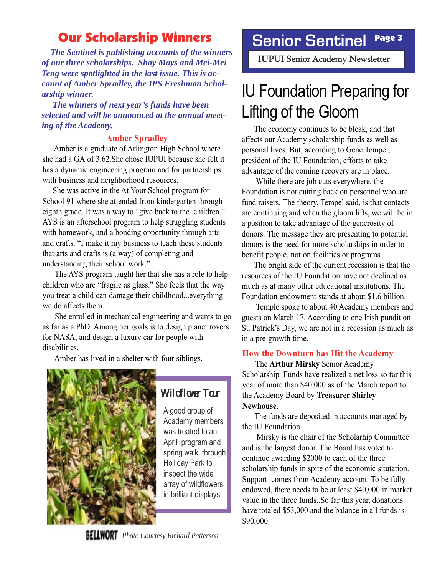### **Our Scholarship Winners Reprise Sentingly Page 3**

 *The Sentinel is publishing accounts of the winners of our three scholarships. Shay Mays and Mei-Mei Teng were spotlighted in the last issue. This is account of Amber Spradley, the IPS Freshman Scholarship winner.*

 *The winners of next year's funds have been selected and will be announced at the annual meeting of the Academy.*

### **Amber Spradley**

 Amber is a graduate of Arlington High School where she had a GA of 3.62.She chose IUPUI because she felt it has a dynamic engineering program and for partnerships with business and neighborhood resources.

 She was active in the At Your School program for School 91 where she attended from kindergarten through eighth grade. It was a way to "give back to the children." AYS is an afterschool program to help struggling students with homework, and a bonding opportunity through arts and crafts. "I make it my business to teach these students that arts and crafts is (a way) of completing and understanding their school work."

 The AYS program taught her that she has a role to help children who are "fragile as glass." She feels that the way you treat a child can damage their childhood,..everything we do affects them.

 She enrolled in mechanical engineering and wants to go as far as a PhD. Among her goals is to design planet rovers for NASA, and design a luxury car for people with disabilities.

Amber has lived in a shelter with four siblings.



### Wildflower Tour

A good group of Academy members was treated to an April program and spring walk through Holliday Park to inspect the wide array of wildflowers in brilliant displays.

### **Senior Sentinel**

**IUPUI Senior Academy Newsletter** 

## IU Foundation Preparing for Lifting of the Gloom

 The economy continues to be bleak, and that affects our Academy scholarship funds as well as personal lives. But, according to Gene Tempel, president of the IU Foundation, efforts to take advantage of the coming recovery are in place.

 While there are job cuts everywhere, the Foundation is not cutting back on personnel who are fund raisers. The theory, Tempel said, is that contacts are continuing and when the gloom lifts, we will be in a position to take advantage of the generosity of donors. The message they are presenting to potential donors is the need for more scholarships in order to benefit people, not on facilities or programs.

 The bright side of the current recession is that the resources of the IU Foundation have not declined as much as at many other educational institutions. The Foundation endowment stands at about \$1.6 billion.

 Temple spoke to about 40 Academy members and guests on March 17. According to one Irish pundit on St. Patrick's Day, we are not in a recession as much as in a pre-growth time.

### **How the Downturn has Hit the Academy**

 The **Arthur Mirsky** Senior Academy Scholarship Funds have realized a net loss so far this year of more than \$40,000 as of the March report to the Academy Board by **Treasurer Shirley Newhouse**.

 The funds are deposited in accounts managed by the IU Foundation

 Mirsky is the chair of the Scholarhip Committee and is the largest donor. The Board has voted to continue awarding \$2000 to each of the three scholarship funds in spite of the economic situtation. Support comes from Academy account. To be fully endowed, there needs to be at least \$40,000 in market value in the three funds..So far this year, donations have totaled \$53,000 and the balance in all funds is \$90,000.

*Photo Courtesy Richard Patterson*